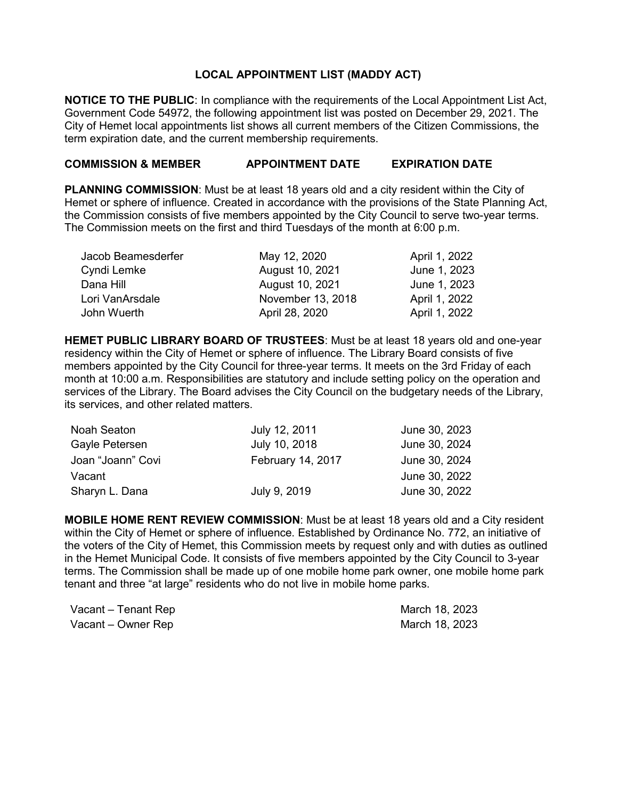## **LOCAL APPOINTMENT LIST (MADDY ACT)**

**NOTICE TO THE PUBLIC**: In compliance with the requirements of the Local Appointment List Act, Government Code 54972, the following appointment list was posted on December 29, 2021. The City of Hemet local appointments list shows all current members of the Citizen Commissions, the term expiration date, and the current membership requirements.

## **COMMISSION & MEMBER APPOINTMENT DATE EXPIRATION DATE**

**PLANNING COMMISSION**: Must be at least 18 years old and a city resident within the City of Hemet or sphere of influence. Created in accordance with the provisions of the State Planning Act, the Commission consists of five members appointed by the City Council to serve two-year terms. The Commission meets on the first and third Tuesdays of the month at 6:00 p.m.

| Jacob Beamesderfer | May 12, 2020      | April 1, 2022 |
|--------------------|-------------------|---------------|
| Cyndi Lemke        | August 10, 2021   | June 1, 2023  |
| Dana Hill          | August 10, 2021   | June 1, 2023  |
| Lori VanArsdale    | November 13, 2018 | April 1, 2022 |
| John Wuerth        | April 28, 2020    | April 1, 2022 |

**HEMET PUBLIC LIBRARY BOARD OF TRUSTEES**: Must be at least 18 years old and one-year residency within the City of Hemet or sphere of influence. The Library Board consists of five members appointed by the City Council for three-year terms. It meets on the 3rd Friday of each month at 10:00 a.m. Responsibilities are statutory and include setting policy on the operation and services of the Library. The Board advises the City Council on the budgetary needs of the Library, its services, and other related matters.

| Noah Seaton       | July 12, 2011     | June 30, 2023 |
|-------------------|-------------------|---------------|
| Gayle Petersen    | July 10, 2018     | June 30, 2024 |
| Joan "Joann" Covi | February 14, 2017 | June 30, 2024 |
| Vacant            |                   | June 30, 2022 |
| Sharyn L. Dana    | July 9, 2019      | June 30, 2022 |

**MOBILE HOME RENT REVIEW COMMISSION**: Must be at least 18 years old and a City resident within the City of Hemet or sphere of influence. Established by Ordinance No. 772, an initiative of the voters of the City of Hemet, this Commission meets by request only and with duties as outlined in the Hemet Municipal Code. It consists of five members appointed by the City Council to 3-year terms. The Commission shall be made up of one mobile home park owner, one mobile home park tenant and three "at large" residents who do not live in mobile home parks.

| Vacant – Tenant Rep | March 18, 2023 |
|---------------------|----------------|
| Vacant – Owner Rep  | March 18, 2023 |